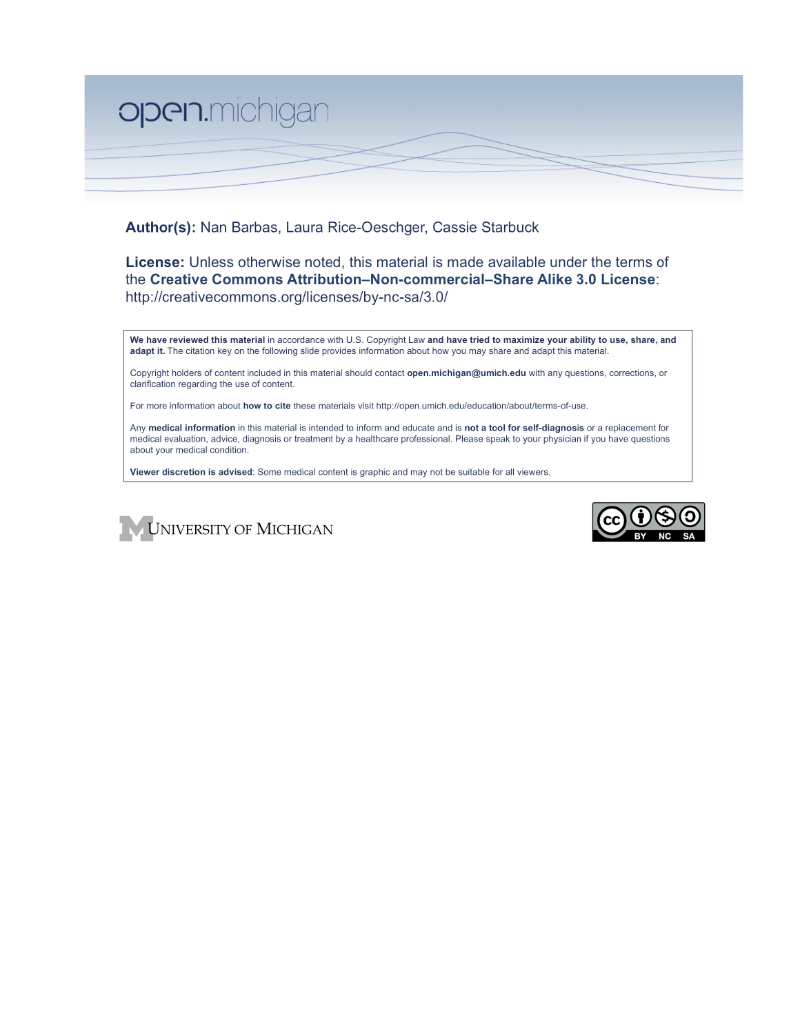

Author(s): Nan Barbas, Laura Rice-Oeschger, Cassie Starbuck

**License:** Unless otherwise noted, this material is made available under the terms of the Creative Commons Attribution-Non-commercial-Share Alike 3.0 License: http://creativecommons.org/licenses/by-nc-sa/3.0/

We have reviewed this material in accordance with U.S. Copyright Law and have tried to maximize your ability to use, share, and adapt it. The citation key on the following slide provides information about how you may share and adapt this material.

Copyright holders of content included in this material should contact open.michigan@umich.edu with any questions, corrections, or clarification regarding the use of content.

For more information about how to cite these materials visit http://open.umich.edu/education/about/terms-of-use.

Any medical information in this material is intended to inform and educate and is not a tool for self-diagnosis or a replacement for medical evaluation, advice, diagnosis or treatment by a healthcare professional. Please speak to your physician if you have questions about your medical condition.

Viewer discretion is advised: Some medical content is graphic and may not be suitable for all viewers.



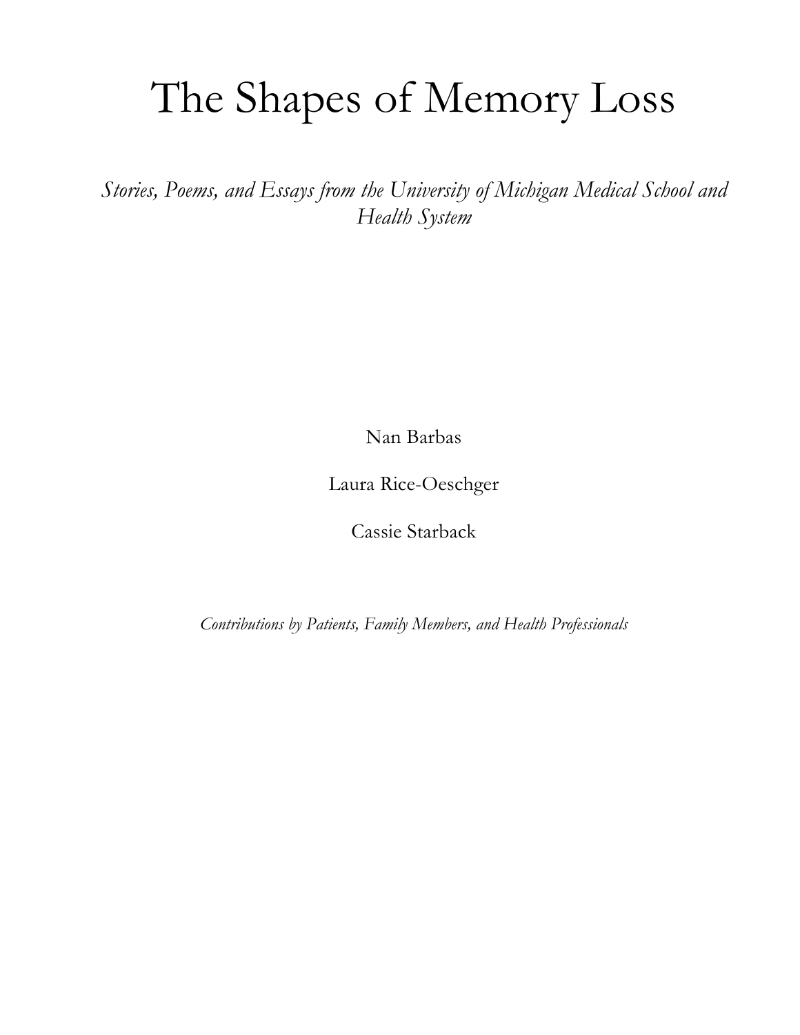# The Shapes of Memory Loss

*Stories, Poems, and Essays from the University of Michigan Medical School and Health System*

Nan Barbas

Laura Rice-Oeschger

Cassie Starback

*Contributions by Patients, Family Members, and Health Professionals*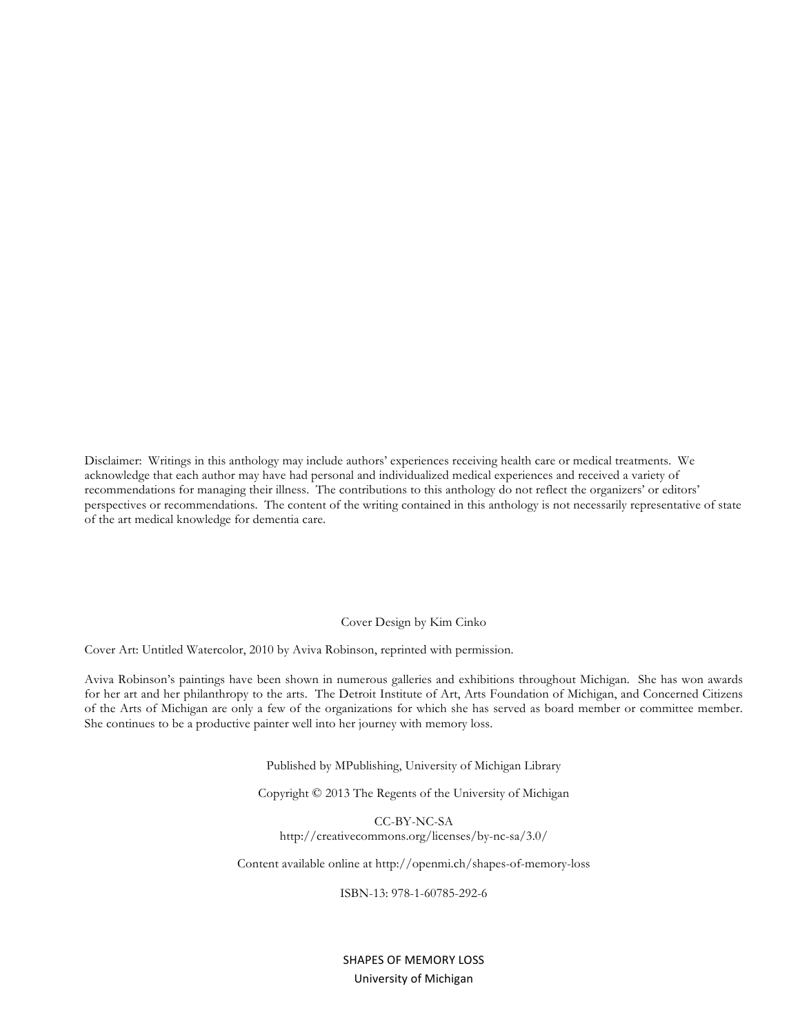Disclaimer: Writings in this anthology may include authors' experiences receiving health care or medical treatments. We acknowledge that each author may have had personal and individualized medical experiences and received a variety of recommendations for managing their illness. The contributions to this anthology do not reflect the organizers' or editors' perspectives or recommendations. The content of the writing contained in this anthology is not necessarily representative of state of the art medical knowledge for dementia care.

#### Cover Design by Kim Cinko

Cover Art: Untitled Watercolor, 2010 by Aviva Robinson, reprinted with permission.

Aviva Robinson's paintings have been shown in numerous galleries and exhibitions throughout Michigan. She has won awards for her art and her philanthropy to the arts. The Detroit Institute of Art, Arts Foundation of Michigan, and Concerned Citizens of the Arts of Michigan are only a few of the organizations for which she has served as board member or committee member. She continues to be a productive painter well into her journey with memory loss.

Published by MPublishing, University of Michigan Library

Copyright © 2013 The Regents of the University of Michigan

CC-BY-NC-SA http://creativecommons.org/licenses/by-nc-sa/3.0/

Content available online at http://openmi.ch/shapes-of-memory-loss

ISBN-13: 978-1-60785-292-6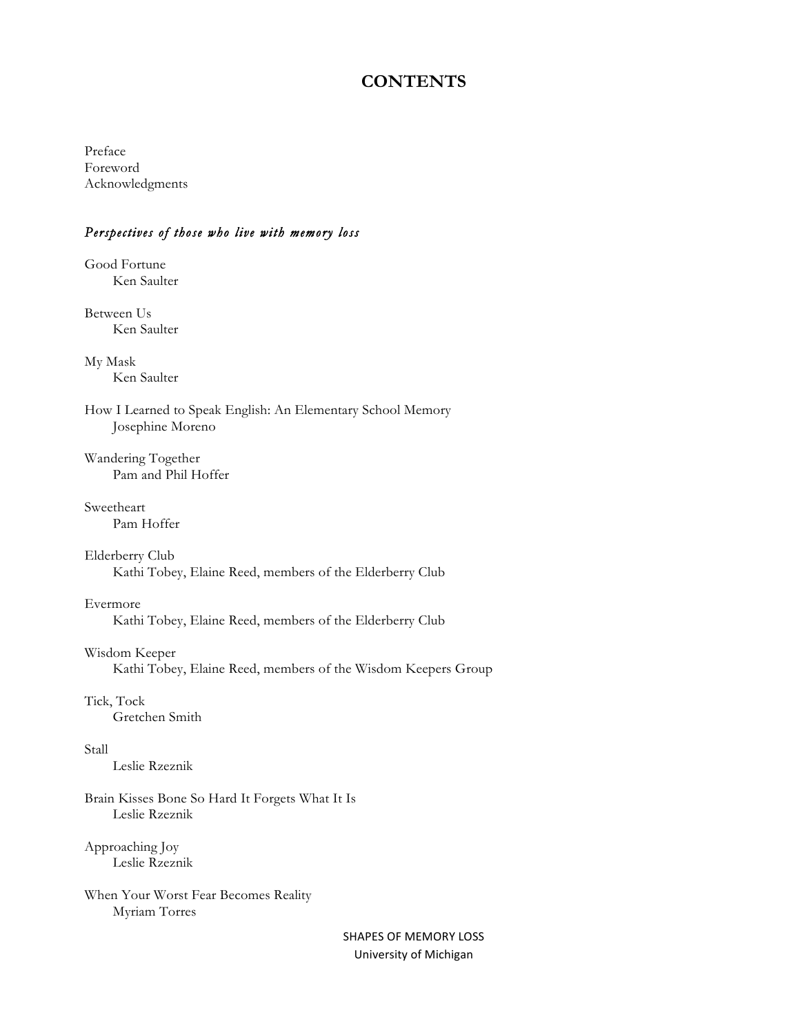## **CONTENTS**

Preface Foreword Acknowledgments

#### *Perspectives of those who live with memory loss*

Good Fortune Ken Saulter

Between Us Ken Saulter

My Mask Ken Saulter

How I Learned to Speak English: An Elementary School Memory Josephine Moreno

Wandering Together Pam and Phil Hoffer

Sweetheart Pam Hoffer

Elderberry Club Kathi Tobey, Elaine Reed, members of the Elderberry Club

Evermore

Kathi Tobey, Elaine Reed, members of the Elderberry Club

Wisdom Keeper

Kathi Tobey, Elaine Reed, members of the Wisdom Keepers Group

Tick, Tock

Gretchen Smith

Stall

Leslie Rzeznik

Brain Kisses Bone So Hard It Forgets What It Is Leslie Rzeznik

Approaching Joy Leslie Rzeznik

When Your Worst Fear Becomes Reality Myriam Torres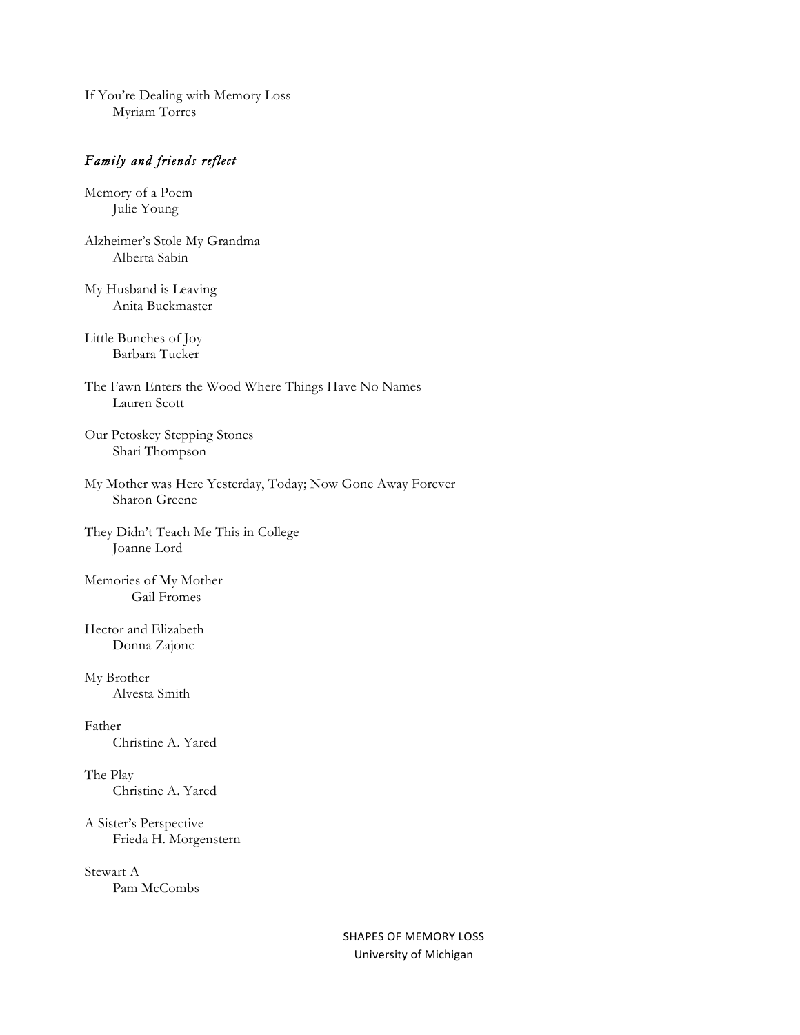If You're Dealing with Memory Loss Myriam Torres

## *Family and friends reflect*

Memory of a Poem Julie Young

Alzheimer's Stole My Grandma Alberta Sabin

My Husband is Leaving Anita Buckmaster

Little Bunches of Joy Barbara Tucker

The Fawn Enters the Wood Where Things Have No Names Lauren Scott

Our Petoskey Stepping Stones Shari Thompson

My Mother was Here Yesterday, Today; Now Gone Away Forever Sharon Greene

They Didn't Teach Me This in College Joanne Lord

Memories of My Mother Gail Fromes

Hector and Elizabeth Donna Zajonc

My Brother Alvesta Smith

Father Christine A. Yared

The Play Christine A. Yared

A Sister's Perspective Frieda H. Morgenstern

Stewart A Pam McCombs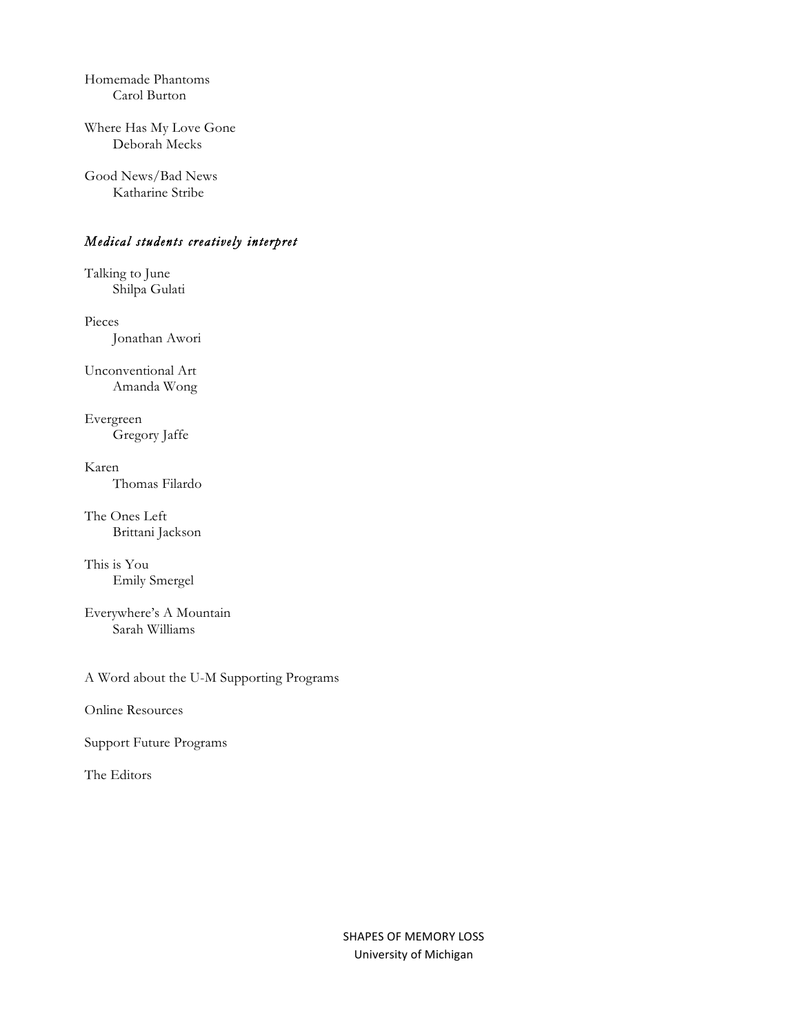Homemade Phantoms Carol Burton

Where Has My Love Gone Deborah Mecks

Good News/Bad News Katharine Stribe

### *Medical students creatively interpret*

Talking to June Shilpa Gulati

Pieces Jonathan Awori

Unconventional Art Amanda Wong

Evergreen Gregory Jaffe

Karen Thomas Filardo

The Ones Left Brittani Jackson

This is You Emily Smergel

Everywhere's A Mountain Sarah Williams

A Word about the U-M Supporting Programs

Online Resources

Support Future Programs

The Editors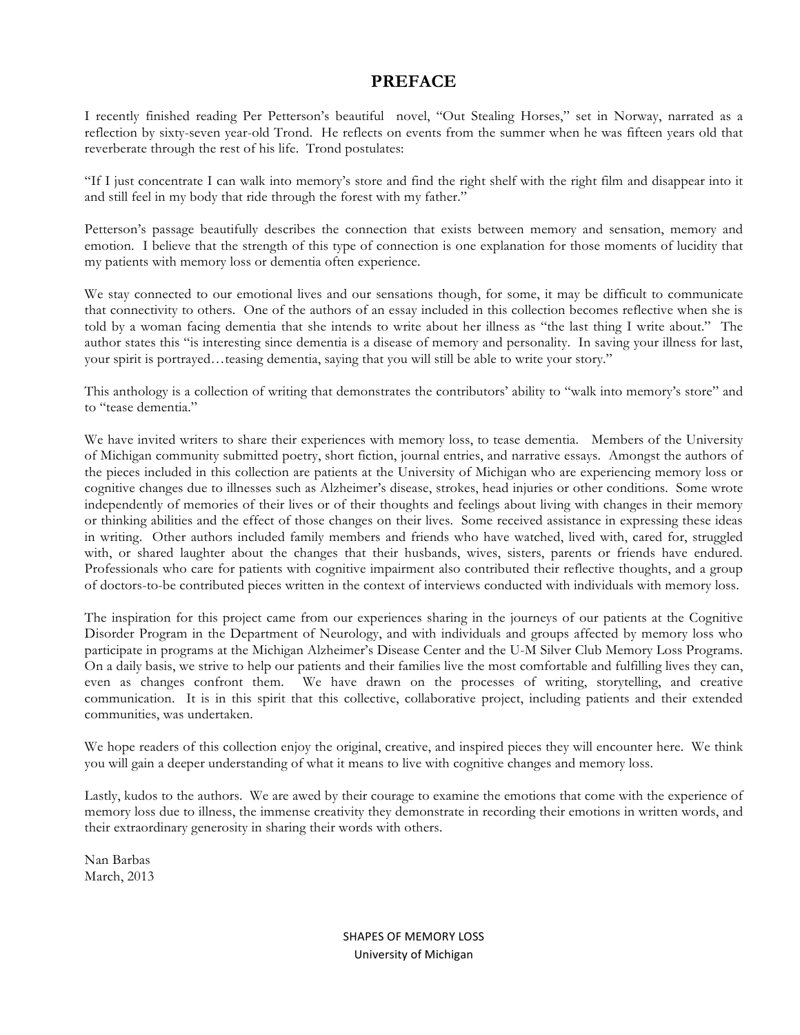## **PREFACE**

I recently finished reading Per Petterson's beautiful novel, "Out Stealing Horses," set in Norway, narrated as a reflection by sixty-seven year-old Trond. He reflects on events from the summer when he was fifteen years old that reverberate through the rest of his life. Trond postulates:

"If I just concentrate I can walk into memory's store and find the right shelf with the right film and disappear into it and still feel in my body that ride through the forest with my father."

Petterson's passage beautifully describes the connection that exists between memory and sensation, memory and emotion. I believe that the strength of this type of connection is one explanation for those moments of lucidity that my patients with memory loss or dementia often experience.

We stay connected to our emotional lives and our sensations though, for some, it may be difficult to communicate that connectivity to others. One of the authors of an essay included in this collection becomes reflective when she is told by a woman facing dementia that she intends to write about her illness as "the last thing I write about." The author states this "is interesting since dementia is a disease of memory and personality. In saving your illness for last, your spirit is portrayed…teasing dementia, saying that you will still be able to write your story."

This anthology is a collection of writing that demonstrates the contributors' ability to "walk into memory's store" and to "tease dementia."

We have invited writers to share their experiences with memory loss, to tease dementia. Members of the University of Michigan community submitted poetry, short fiction, journal entries, and narrative essays. Amongst the authors of the pieces included in this collection are patients at the University of Michigan who are experiencing memory loss or cognitive changes due to illnesses such as Alzheimer's disease, strokes, head injuries or other conditions. Some wrote independently of memories of their lives or of their thoughts and feelings about living with changes in their memory or thinking abilities and the effect of those changes on their lives. Some received assistance in expressing these ideas in writing. Other authors included family members and friends who have watched, lived with, cared for, struggled with, or shared laughter about the changes that their husbands, wives, sisters, parents or friends have endured. Professionals who care for patients with cognitive impairment also contributed their reflective thoughts, and a group of doctors-to-be contributed pieces written in the context of interviews conducted with individuals with memory loss.

The inspiration for this project came from our experiences sharing in the journeys of our patients at the Cognitive Disorder Program in the Department of Neurology, and with individuals and groups affected by memory loss who participate in programs at the Michigan Alzheimer's Disease Center and the U-M Silver Club Memory Loss Programs. On a daily basis, we strive to help our patients and their families live the most comfortable and fulfilling lives they can, even as changes confront them. We have drawn on the processes of writing, storytelling, and creative communication. It is in this spirit that this collective, collaborative project, including patients and their extended communities, was undertaken.

We hope readers of this collection enjoy the original, creative, and inspired pieces they will encounter here. We think you will gain a deeper understanding of what it means to live with cognitive changes and memory loss.

Lastly, kudos to the authors. We are awed by their courage to examine the emotions that come with the experience of memory loss due to illness, the immense creativity they demonstrate in recording their emotions in written words, and their extraordinary generosity in sharing their words with others.

Nan Barbas March, 2013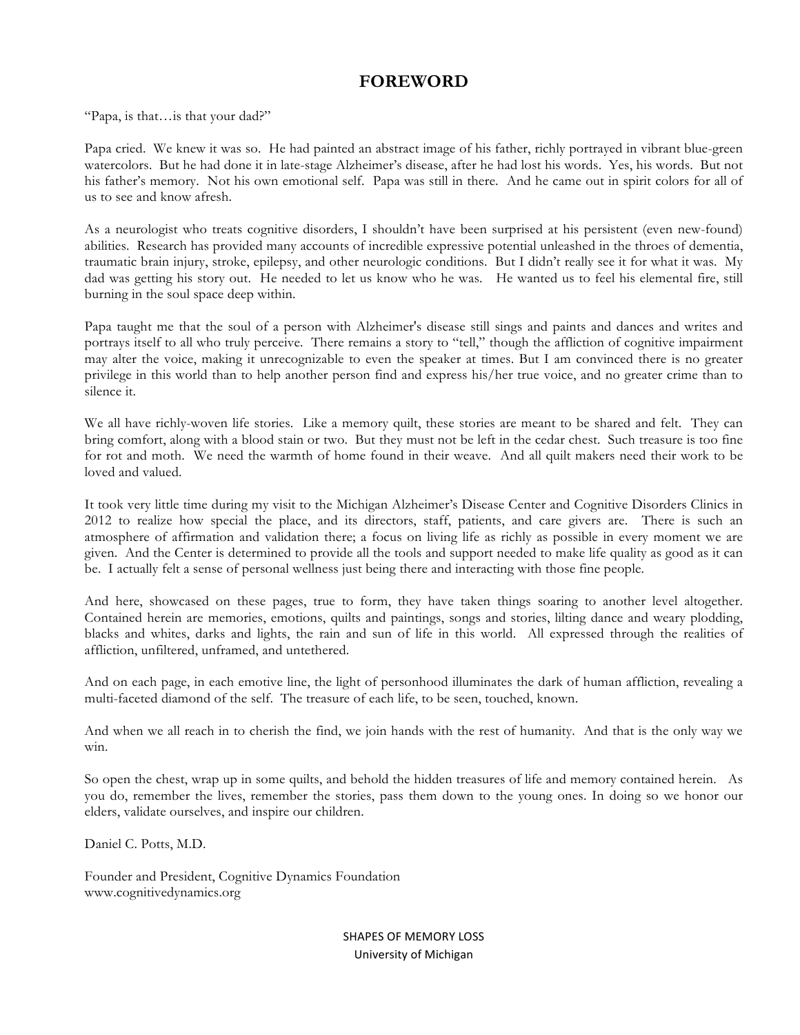## **FOREWORD**

"Papa, is that…is that your dad?"

Papa cried. We knew it was so. He had painted an abstract image of his father, richly portrayed in vibrant blue-green watercolors. But he had done it in late-stage Alzheimer's disease, after he had lost his words. Yes, his words. But not his father's memory. Not his own emotional self. Papa was still in there. And he came out in spirit colors for all of us to see and know afresh.

As a neurologist who treats cognitive disorders, I shouldn't have been surprised at his persistent (even new-found) abilities. Research has provided many accounts of incredible expressive potential unleashed in the throes of dementia, traumatic brain injury, stroke, epilepsy, and other neurologic conditions. But I didn't really see it for what it was. My dad was getting his story out. He needed to let us know who he was. He wanted us to feel his elemental fire, still burning in the soul space deep within.

Papa taught me that the soul of a person with Alzheimer's disease still sings and paints and dances and writes and portrays itself to all who truly perceive. There remains a story to "tell," though the affliction of cognitive impairment may alter the voice, making it unrecognizable to even the speaker at times. But I am convinced there is no greater privilege in this world than to help another person find and express his/her true voice, and no greater crime than to silence it.

We all have richly-woven life stories. Like a memory quilt, these stories are meant to be shared and felt. They can bring comfort, along with a blood stain or two. But they must not be left in the cedar chest. Such treasure is too fine for rot and moth. We need the warmth of home found in their weave. And all quilt makers need their work to be loved and valued.

It took very little time during my visit to the Michigan Alzheimer's Disease Center and Cognitive Disorders Clinics in 2012 to realize how special the place, and its directors, staff, patients, and care givers are. There is such an atmosphere of affirmation and validation there; a focus on living life as richly as possible in every moment we are given. And the Center is determined to provide all the tools and support needed to make life quality as good as it can be. I actually felt a sense of personal wellness just being there and interacting with those fine people.

And here, showcased on these pages, true to form, they have taken things soaring to another level altogether. Contained herein are memories, emotions, quilts and paintings, songs and stories, lilting dance and weary plodding, blacks and whites, darks and lights, the rain and sun of life in this world. All expressed through the realities of affliction, unfiltered, unframed, and untethered.

And on each page, in each emotive line, the light of personhood illuminates the dark of human affliction, revealing a multi-faceted diamond of the self. The treasure of each life, to be seen, touched, known.

And when we all reach in to cherish the find, we join hands with the rest of humanity. And that is the only way we win.

So open the chest, wrap up in some quilts, and behold the hidden treasures of life and memory contained herein. As you do, remember the lives, remember the stories, pass them down to the young ones. In doing so we honor our elders, validate ourselves, and inspire our children.

Daniel C. Potts, M.D.

Founder and President, Cognitive Dynamics Foundation www.cognitivedynamics.org